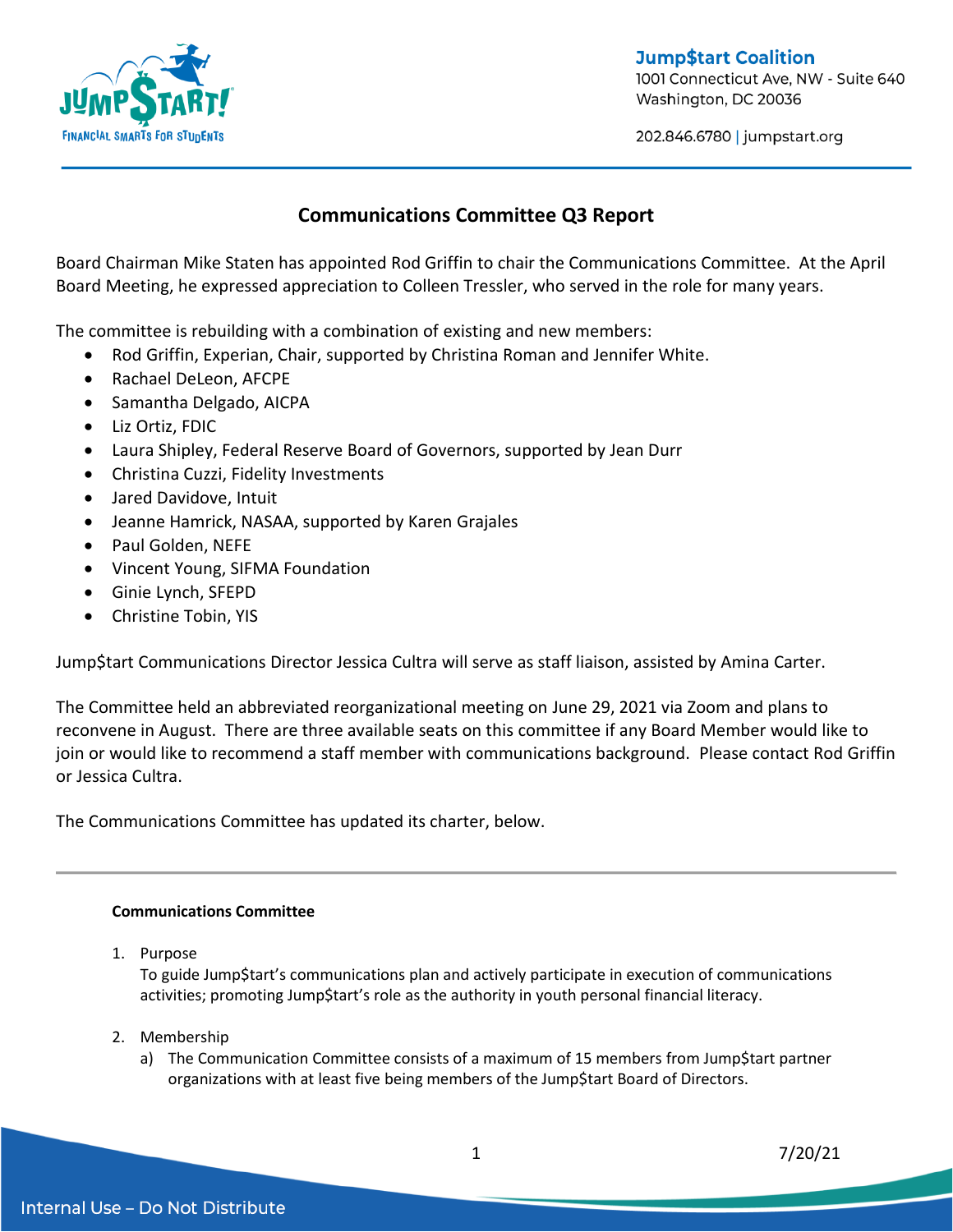

**Jump\$tart Coalition** 1001 Connecticut Ave, NW - Suite 640 Washington, DC 20036

202.846.6780 | jumpstart.org

## **Communications Committee Q3 Report**

Board Chairman Mike Staten has appointed Rod Griffin to chair the Communications Committee. At the April Board Meeting, he expressed appreciation to Colleen Tressler, who served in the role for many years.

The committee is rebuilding with a combination of existing and new members:

- Rod Griffin, Experian, Chair, supported by Christina Roman and Jennifer White.
- Rachael DeLeon, AFCPE
- Samantha Delgado, AICPA
- Liz Ortiz, FDIC
- Laura Shipley, Federal Reserve Board of Governors, supported by Jean Durr
- Christina Cuzzi, Fidelity Investments
- Jared Davidove, Intuit
- Jeanne Hamrick, NASAA, supported by Karen Grajales
- Paul Golden, NEFE
- Vincent Young, SIFMA Foundation
- Ginie Lynch, SFEPD
- Christine Tobin, YIS

Jump\$tart Communications Director Jessica Cultra will serve as staff liaison, assisted by Amina Carter.

The Committee held an abbreviated reorganizational meeting on June 29, 2021 via Zoom and plans to reconvene in August. There are three available seats on this committee if any Board Member would like to join or would like to recommend a staff member with communications background. Please contact Rod Griffin or Jessica Cultra.

The Communications Committee has updated its charter, below.

## **Communications Committee**

1. Purpose

To guide Jump\$tart's communications plan and actively participate in execution of communications activities; promoting Jump\$tart's role as the authority in youth personal financial literacy.

- 2. Membership
	- a) The Communication Committee consists of a maximum of 15 members from Jump\$tart partner organizations with at least five being members of the Jump\$tart Board of Directors.